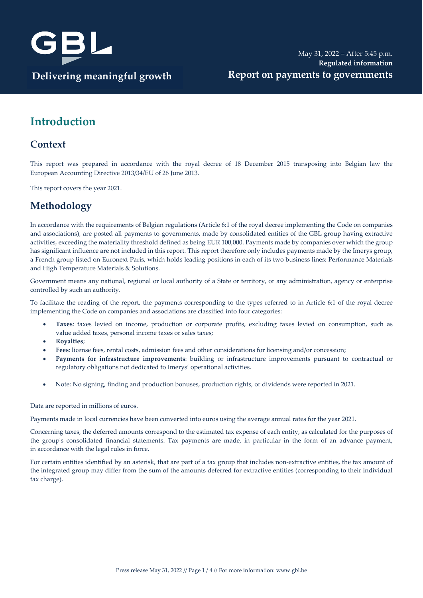

## **Introduction**

#### **Context**

This report was prepared in accordance with the royal decree of 18 December 2015 transposing into Belgian law the European Accounting Directive 2013/34/EU of 26 June 2013.

This report covers the year 2021.

### **Methodology**

In accordance with the requirements of Belgian regulations (Article 6:1 of the royal decree implementing the Code on companies and associations), are posted all payments to governments, made by consolidated entities of the GBL group having extractive activities, exceeding the materiality threshold defined as being EUR 100,000. Payments made by companies over which the group has significant influence are not included in this report. This report therefore only includes payments made by the Imerys group, a French group listed on Euronext Paris, which holds leading positions in each of its two business lines: Performance Materials and High Temperature Materials & Solutions.

Government means any national, regional or local authority of a State or territory, or any administration, agency or enterprise controlled by such an authority.

To facilitate the reading of the report, the payments corresponding to the types referred to in Article 6:1 of the royal decree implementing the Code on companies and associations are classified into four categories:

- **Taxes**: taxes levied on income, production or corporate profits, excluding taxes levied on consumption, such as value added taxes, personal income taxes or sales taxes;
- **Royalties**;
- **Fees**: license fees, rental costs, admission fees and other considerations for licensing and/or concession;
- **Payments for infrastructure improvements**: building or infrastructure improvements pursuant to contractual or regulatory obligations not dedicated to Imerys' operational activities.
- Note: No signing, finding and production bonuses, production rights, or dividends were reported in 2021.

Data are reported in millions of euros.

Payments made in local currencies have been converted into euros using the average annual rates for the year 2021.

Concerning taxes, the deferred amounts correspond to the estimated tax expense of each entity, as calculated for the purposes of the group's consolidated financial statements. Tax payments are made, in particular in the form of an advance payment, in accordance with the legal rules in force.

For certain entities identified by an asterisk, that are part of a tax group that includes non-extractive entities, the tax amount of the integrated group may differ from the sum of the amounts deferred for extractive entities (corresponding to their individual tax charge).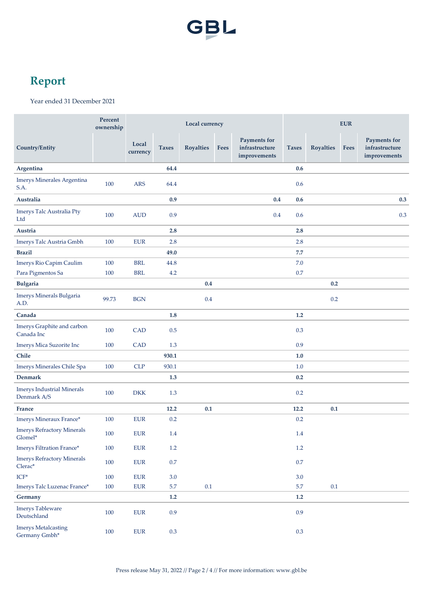

# **Report**

Year ended 31 December 2021

|                                                                            | Percent<br>ownership | Local currency    |              |                  |      |                                                | <b>EUR</b>   |                  |             |                                                |
|----------------------------------------------------------------------------|----------------------|-------------------|--------------|------------------|------|------------------------------------------------|--------------|------------------|-------------|------------------------------------------------|
| Country/Entity                                                             |                      | Local<br>currency | <b>Taxes</b> | <b>Royalties</b> | Fees | Payments for<br>infrastructure<br>improvements | <b>Taxes</b> | <b>Royalties</b> | <b>Fees</b> | Payments for<br>infrastructure<br>improvements |
| Argentina                                                                  |                      |                   | 64.4         |                  |      |                                                | 0.6          |                  |             |                                                |
| Imerys Minerales Argentina<br>S.A.                                         | 100                  | <b>ARS</b>        | 64.4         |                  |      |                                                | 0.6          |                  |             |                                                |
| Australia                                                                  |                      |                   | 0.9          |                  |      | 0.4                                            | 0.6          |                  |             | 0.3                                            |
| Imerys Talc Australia Pty<br>Ltd                                           | 100                  | <b>AUD</b>        | 0.9          |                  |      | 0.4                                            | 0.6          |                  |             | 0.3                                            |
| Austria                                                                    |                      |                   | 2.8          |                  |      |                                                | 2.8          |                  |             |                                                |
| Imerys Talc Austria Gmbh                                                   | 100                  | <b>EUR</b>        | 2.8          |                  |      |                                                | 2.8          |                  |             |                                                |
| <b>Brazil</b>                                                              |                      |                   | 49.0         |                  |      |                                                | 7.7          |                  |             |                                                |
| Imerys Rio Capim Caulim                                                    | 100                  | <b>BRL</b>        | 44.8         |                  |      |                                                | 7.0          |                  |             |                                                |
| Para Pigmentos Sa                                                          | 100                  | <b>BRL</b>        | 4.2          |                  |      |                                                | 0.7          |                  |             |                                                |
| <b>Bulgaria</b>                                                            |                      |                   |              | $0.4\,$          |      |                                                |              | 0.2              |             |                                                |
| Imerys Minerals Bulgaria<br>A.D.                                           | 99.73                | <b>BGN</b>        |              | 0.4              |      |                                                |              | $0.2\,$          |             |                                                |
| Canada                                                                     |                      |                   | 1.8          |                  |      |                                                | 1.2          |                  |             |                                                |
| Imerys Graphite and carbon<br>Canada Inc                                   | 100                  | <b>CAD</b>        | 0.5          |                  |      |                                                | 0.3          |                  |             |                                                |
| Imerys Mica Suzorite Inc                                                   | 100                  | <b>CAD</b>        | 1.3          |                  |      |                                                | 0.9          |                  |             |                                                |
| Chile                                                                      |                      |                   | 930.1        |                  |      |                                                | $1.0$        |                  |             |                                                |
| Imerys Minerales Chile Spa                                                 | 100                  | <b>CLP</b>        | 930.1        |                  |      |                                                | 1.0          |                  |             |                                                |
| <b>Denmark</b>                                                             |                      |                   | 1.3          |                  |      |                                                | 0.2          |                  |             |                                                |
| <b>Imerys Industrial Minerals</b><br>Denmark A/S                           | 100                  | <b>DKK</b>        | 1.3          |                  |      |                                                | $0.2\,$      |                  |             |                                                |
| <b>France</b>                                                              |                      |                   | 12.2         | 0.1              |      |                                                | 12.2         | 0.1              |             |                                                |
| Imerys Mineraux France*                                                    | 100                  | <b>EUR</b>        | 0.2          |                  |      |                                                | 0.2          |                  |             |                                                |
| <b>Imerys Refractory Minerals</b><br>Glomel*                               | $100\,$              | ${\rm EUR}$       | $1.4\,$      |                  |      |                                                | $1.4\,$      |                  |             |                                                |
| Imerys Filtration France*                                                  | 100                  | ${\rm EUR}$       | $1.2\,$      |                  |      |                                                | $1.2\,$      |                  |             |                                                |
| <b>Imerys Refractory Minerals</b><br>$\ensuremath{\text{Cleara}}\xspace^*$ | 100                  | ${\rm EUR}$       | $0.7\,$      |                  |      |                                                | $0.7\,$      |                  |             |                                                |
| $\ensuremath{\mathsf{ICF}}^*$                                              | 100                  | ${\rm EUR}$       | 3.0          |                  |      |                                                | 3.0          |                  |             |                                                |
| Imerys Talc Luzenac France*                                                | 100                  | ${\rm EUR}$       | 5.7          | $0.1\,$          |      |                                                | 5.7          | $0.1\,$          |             |                                                |
| Germany                                                                    |                      |                   | 1.2          |                  |      |                                                | 1.2          |                  |             |                                                |
| <b>Imerys Tableware</b><br>Deutschland                                     | $100\,$              | ${\rm EUR}$       | 0.9          |                  |      |                                                | 0.9          |                  |             |                                                |
| <b>Imerys Metalcasting</b><br>Germany Gmbh*                                | 100                  | ${\rm EUR}$       | $0.3\,$      |                  |      |                                                | $0.3\,$      |                  |             |                                                |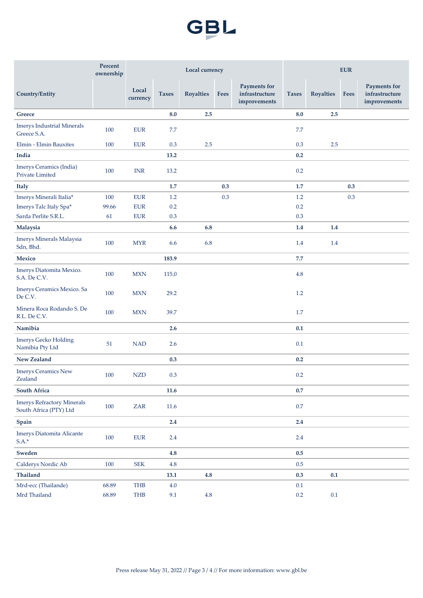

|                                                             | Percent<br>ownership | Local currency    |              |                  |             |                                                       | <b>EUR</b>   |                  |             |                                                       |
|-------------------------------------------------------------|----------------------|-------------------|--------------|------------------|-------------|-------------------------------------------------------|--------------|------------------|-------------|-------------------------------------------------------|
| <b>Country/Entity</b>                                       |                      | Local<br>currency | <b>Taxes</b> | <b>Royalties</b> | <b>Fees</b> | <b>Payments for</b><br>infrastructure<br>improvements | <b>Taxes</b> | <b>Royalties</b> | <b>Fees</b> | <b>Payments for</b><br>infrastructure<br>improvements |
| Greece                                                      |                      |                   | 8.0          | 2.5              |             |                                                       | 8.0          | 2.5              |             |                                                       |
| <b>Imerys Industrial Minerals</b><br>Greece S.A.            | 100                  | <b>EUR</b>        | 7.7          |                  |             |                                                       | 7.7          |                  |             |                                                       |
| Elmin - Elmin Bauxites                                      | 100                  | <b>EUR</b>        | 0.3          | 2.5              |             |                                                       | 0.3          | 2.5              |             |                                                       |
| India                                                       |                      |                   | 13.2         |                  |             |                                                       | 0.2          |                  |             |                                                       |
| Imerys Ceramics (India)<br>Private Limited                  | 100                  | <b>INR</b>        | 13.2         |                  |             |                                                       | 0.2          |                  |             |                                                       |
| <b>Italy</b>                                                |                      |                   | 1.7          |                  | 0.3         |                                                       | 1.7          |                  | 0.3         |                                                       |
| Imerys Minerali Italia*                                     | 100                  | <b>EUR</b>        | 1.2          |                  | 0.3         |                                                       | 1.2          |                  | $0.3\,$     |                                                       |
| Imerys Talc Italy Spa*                                      | 99.66                | <b>EUR</b>        | 0.2          |                  |             |                                                       | $0.2\,$      |                  |             |                                                       |
| Sarda Perlite S.R.L.                                        | 61                   | <b>EUR</b>        | 0.3          |                  |             |                                                       | 0.3          |                  |             |                                                       |
| Malaysia                                                    |                      |                   | 6.6          | 6.8              |             |                                                       | 1.4          | 1.4              |             |                                                       |
| Imerys Minerals Malaysia<br>Sdn, Bhd.                       | 100                  | <b>MYR</b>        | 6.6          | 6.8              |             |                                                       | 1.4          | 1.4              |             |                                                       |
| Mexico                                                      |                      |                   | 183.9        |                  |             |                                                       | 7.7          |                  |             |                                                       |
| Imerys Diatomita Mexico.<br>S.A. De C.V.                    | 100                  | <b>MXN</b>        | 115.0        |                  |             |                                                       | 4.8          |                  |             |                                                       |
| Imerys Ceramics Mexico. Sa<br>De C.V.                       | 100                  | <b>MXN</b>        | 29.2         |                  |             |                                                       | 1.2          |                  |             |                                                       |
| Minera Roca Rodando S. De<br>R.L. De C.V.                   | 100                  | <b>MXN</b>        | 39.7         |                  |             |                                                       | 1.7          |                  |             |                                                       |
| Namibia                                                     |                      |                   | 2.6          |                  |             |                                                       | 0.1          |                  |             |                                                       |
| <b>Imerys Gecko Holding</b><br>Namibia Pty Ltd              | 51                   | <b>NAD</b>        | 2.6          |                  |             |                                                       | 0.1          |                  |             |                                                       |
| <b>New Zealand</b>                                          |                      |                   | 0.3          |                  |             |                                                       | 0.2          |                  |             |                                                       |
| <b>Imerys Ceramics New</b><br>Zealand                       | 100                  | <b>NZD</b>        | 0.3          |                  |             |                                                       | 0.2          |                  |             |                                                       |
| <b>South Africa</b>                                         |                      |                   | 11.6         |                  |             |                                                       | 0.7          |                  |             |                                                       |
| <b>Imerys Refractory Minerals</b><br>South Africa (PTY) Ltd | 100                  | ZAR               | 11.6         |                  |             |                                                       | $0.7\,$      |                  |             |                                                       |
| Spain                                                       |                      |                   | $2.4\,$      |                  |             |                                                       | 2.4          |                  |             |                                                       |
| Imerys Diatomita Alicante<br>$S.A.*$                        | 100                  | ${\rm EUR}$       | $2.4\,$      |                  |             |                                                       | $2.4\,$      |                  |             |                                                       |
| Sweden                                                      |                      |                   | 4.8          |                  |             |                                                       | 0.5          |                  |             |                                                       |
| Calderys Nordic Ab                                          | $100\,$              | ${\rm SEK}$       | $4.8\,$      |                  |             |                                                       | $0.5\,$      |                  |             |                                                       |
| Thailand                                                    |                      |                   | 13.1         | 4.8              |             |                                                       | 0.3          | 0.1              |             |                                                       |
| Mrd-ecc (Thailande)                                         | 68.89                | THB               | $4.0\,$      |                  |             |                                                       | $0.1\,$      |                  |             |                                                       |
| Mrd Thailand                                                | 68.89                | THB               | 9.1          | $4.8\,$          |             |                                                       | $0.2\,$      | $0.1\,$          |             |                                                       |